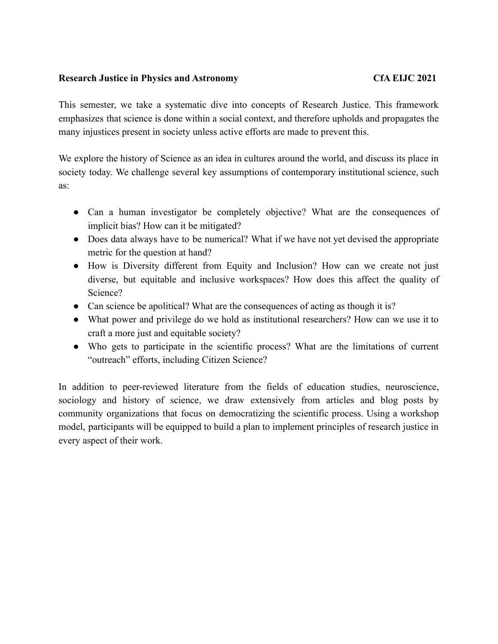## **Research Justice in Physics and Astronomy CfA EIJC 2021**

This semester, we take a systematic dive into concepts of Research Justice. This framework emphasizes that science is done within a social context, and therefore upholds and propagates the many injustices present in society unless active efforts are made to prevent this.

We explore the history of Science as an idea in cultures around the world, and discuss its place in society today. We challenge several key assumptions of contemporary institutional science, such as:

- Can a human investigator be completely objective? What are the consequences of implicit bias? How can it be mitigated?
- Does data always have to be numerical? What if we have not yet devised the appropriate metric for the question at hand?
- How is Diversity different from Equity and Inclusion? How can we create not just diverse, but equitable and inclusive workspaces? How does this affect the quality of Science?
- Can science be apolitical? What are the consequences of acting as though it is?
- What power and privilege do we hold as institutional researchers? How can we use it to craft a more just and equitable society?
- Who gets to participate in the scientific process? What are the limitations of current "outreach" efforts, including Citizen Science?

In addition to peer-reviewed literature from the fields of education studies, neuroscience, sociology and history of science, we draw extensively from articles and blog posts by community organizations that focus on democratizing the scientific process. Using a workshop model, participants will be equipped to build a plan to implement principles of research justice in every aspect of their work.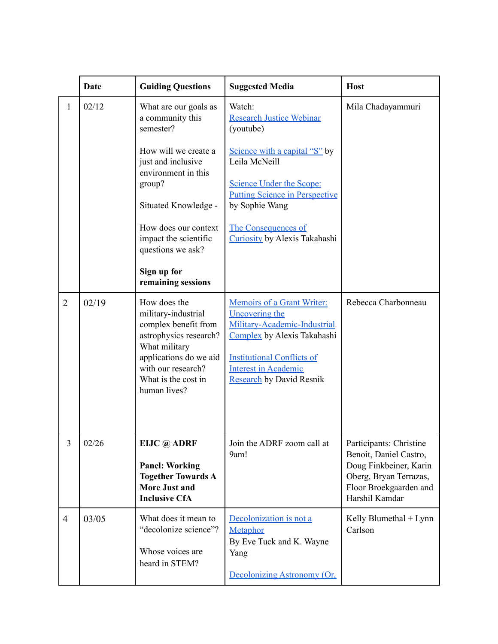|                | <b>Date</b> | <b>Guiding Questions</b>                                                                                                                                                                      | <b>Suggested Media</b>                                                                                                                                                                                             | <b>Host</b>                                                                                                                                       |
|----------------|-------------|-----------------------------------------------------------------------------------------------------------------------------------------------------------------------------------------------|--------------------------------------------------------------------------------------------------------------------------------------------------------------------------------------------------------------------|---------------------------------------------------------------------------------------------------------------------------------------------------|
| 1              | 02/12       | What are our goals as<br>a community this<br>semester?<br>How will we create a                                                                                                                | Watch:<br><b>Research Justice Webinar</b><br>(youtube)<br>Science with a capital "S" by                                                                                                                            | Mila Chadayammuri                                                                                                                                 |
|                |             | just and inclusive<br>environment in this<br>group?                                                                                                                                           | Leila McNeill<br><b>Science Under the Scope:</b><br><b>Putting Science in Perspective</b>                                                                                                                          |                                                                                                                                                   |
|                |             | Situated Knowledge -<br>How does our context<br>impact the scientific<br>questions we ask?                                                                                                    | by Sophie Wang<br><b>The Consequences of</b><br>Curiosity by Alexis Takahashi                                                                                                                                      |                                                                                                                                                   |
|                |             | Sign up for<br>remaining sessions                                                                                                                                                             |                                                                                                                                                                                                                    |                                                                                                                                                   |
| $\overline{2}$ | 02/19       | How does the<br>military-industrial<br>complex benefit from<br>astrophysics research?<br>What military<br>applications do we aid<br>with our research?<br>What is the cost in<br>human lives? | Memoirs of a Grant Writer:<br>Uncovering the<br>Military-Academic-Industrial<br>Complex by Alexis Takahashi<br><b>Institutional Conflicts of</b><br><b>Interest in Academic</b><br><b>Research</b> by David Resnik | Rebecca Charbonneau                                                                                                                               |
| $\overline{3}$ | 02/26       | EIJC @ ADRF<br><b>Panel: Working</b><br><b>Together Towards A</b><br><b>More Just and</b><br><b>Inclusive CfA</b>                                                                             | Join the ADRF zoom call at<br>9am!                                                                                                                                                                                 | Participants: Christine<br>Benoit, Daniel Castro,<br>Doug Finkbeiner, Karin<br>Oberg, Bryan Terrazas,<br>Floor Broekgaarden and<br>Harshil Kamdar |
| $\overline{4}$ | 03/05       | What does it mean to<br>"decolonize science"?<br>Whose voices are<br>heard in STEM?                                                                                                           | Decolonization is not a<br>Metaphor<br>By Eve Tuck and K. Wayne<br>Yang<br>Decolonizing Astronomy (Or.                                                                                                             | Kelly Blumethal + Lynn<br>Carlson                                                                                                                 |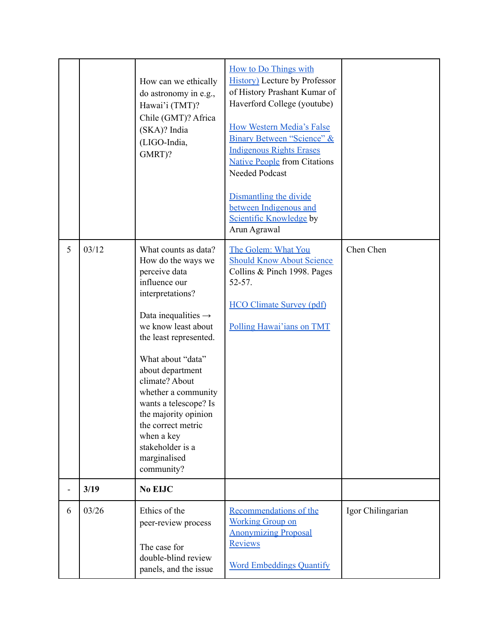| 6 | 03/26 | Ethics of the<br>peer-review process<br>The case for<br>double-blind review<br>panels, and the issue                                                                                                                                                                                                                                                                                                          | Recommendations of the<br><b>Working Group on</b><br><b>Anonymizing Proposal</b><br>Reviews<br><b>Word Embeddings Quantify</b>                                                                                                                                                                                                                                                             | Igor Chilingarian |
|---|-------|---------------------------------------------------------------------------------------------------------------------------------------------------------------------------------------------------------------------------------------------------------------------------------------------------------------------------------------------------------------------------------------------------------------|--------------------------------------------------------------------------------------------------------------------------------------------------------------------------------------------------------------------------------------------------------------------------------------------------------------------------------------------------------------------------------------------|-------------------|
| - | 3/19  | No EIJC                                                                                                                                                                                                                                                                                                                                                                                                       |                                                                                                                                                                                                                                                                                                                                                                                            |                   |
| 5 | 03/12 | What counts as data?<br>How do the ways we<br>perceive data<br>influence our<br>interpretations?<br>Data inequalities $\rightarrow$<br>we know least about<br>the least represented.<br>What about "data"<br>about department<br>climate? About<br>whether a community<br>wants a telescope? Is<br>the majority opinion<br>the correct metric<br>when a key<br>stakeholder is a<br>marginalised<br>community? | The Golem: What You<br><b>Should Know About Science</b><br>Collins & Pinch 1998. Pages<br>$52 - 57$ .<br><b>HCO Climate Survey (pdf)</b><br>Polling Hawai'ians on TMT                                                                                                                                                                                                                      | Chen Chen         |
|   |       | How can we ethically<br>do astronomy in e.g.,<br>Hawai'i (TMT)?<br>Chile (GMT)? Africa<br>(SKA)? India<br>(LIGO-India,<br>GMRT)?                                                                                                                                                                                                                                                                              | <b>How to Do Things with</b><br><b>History</b> ) Lecture by Professor<br>of History Prashant Kumar of<br>Haverford College (youtube)<br>How Western Media's False<br>Binary Between "Science" &<br><b>Indigenous Rights Erases</b><br><b>Native People from Citations</b><br>Needed Podcast<br>Dismantling the divide<br>between Indigenous and<br>Scientific Knowledge by<br>Arun Agrawal |                   |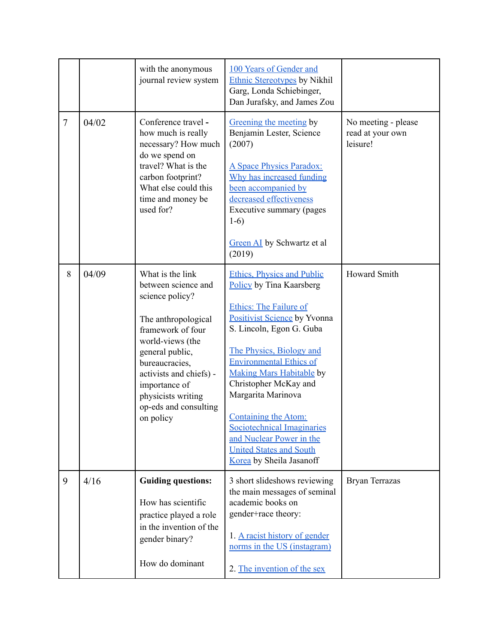|                |       | with the anonymous<br>journal review system                                                                                                                                                                                                                             | 100 Years of Gender and<br><b>Ethnic Stereotypes by Nikhil</b><br>Garg, Londa Schiebinger,<br>Dan Jurafsky, and James Zou                                                                                                                                                                                                                                                                                                                                                |                                                     |
|----------------|-------|-------------------------------------------------------------------------------------------------------------------------------------------------------------------------------------------------------------------------------------------------------------------------|--------------------------------------------------------------------------------------------------------------------------------------------------------------------------------------------------------------------------------------------------------------------------------------------------------------------------------------------------------------------------------------------------------------------------------------------------------------------------|-----------------------------------------------------|
| $\overline{7}$ | 04/02 | Conference travel -<br>how much is really<br>necessary? How much<br>do we spend on<br>travel? What is the<br>carbon footprint?<br>What else could this<br>time and money be<br>used for?                                                                                | Greening the meeting by<br>Benjamin Lester, Science<br>(2007)<br>A Space Physics Paradox:<br>Why has increased funding<br>been accompanied by<br>decreased effectiveness<br>Executive summary (pages<br>$1-6)$<br><b>Green AI</b> by Schwartz et al<br>(2019)                                                                                                                                                                                                            | No meeting - please<br>read at your own<br>leisure! |
| 8              | 04/09 | What is the link<br>between science and<br>science policy?<br>The anthropological<br>framework of four<br>world-views (the<br>general public,<br>bureaucracies,<br>activists and chiefs) -<br>importance of<br>physicists writing<br>op-eds and consulting<br>on policy | <b>Ethics, Physics and Public</b><br>Policy by Tina Kaarsberg<br><b>Ethics: The Failure of</b><br>Positivist Science by Yvonna<br>S. Lincoln, Egon G. Guba<br>The Physics, Biology and<br><b>Environmental Ethics of</b><br><b>Making Mars Habitable by</b><br>Christopher McKay and<br>Margarita Marinova<br><b>Containing the Atom:</b><br><b>Sociotechnical Imaginaries</b><br>and Nuclear Power in the<br><b>United States and South</b><br>Korea by Sheila Jasanoff | <b>Howard Smith</b>                                 |
| 9              | 4/16  | <b>Guiding questions:</b><br>How has scientific<br>practice played a role<br>in the invention of the<br>gender binary?<br>How do dominant                                                                                                                               | 3 short slideshows reviewing<br>the main messages of seminal<br>academic books on<br>gender+race theory:<br>1. A racist history of gender<br>norms in the US (instagram)<br>2. The invention of the sex                                                                                                                                                                                                                                                                  | <b>Bryan Terrazas</b>                               |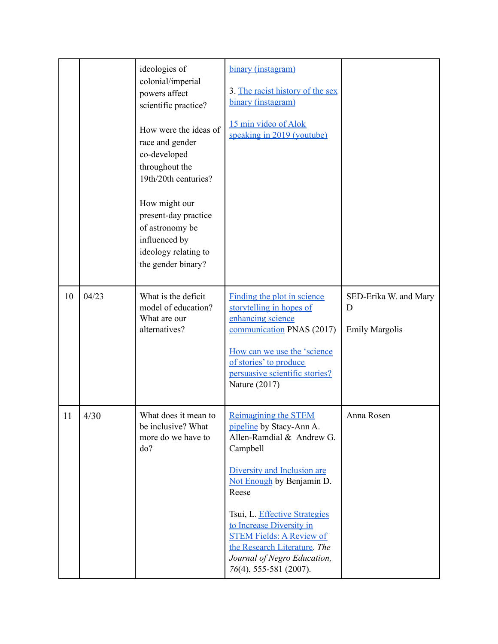|    |       | ideologies of<br>colonial/imperial<br>powers affect<br>scientific practice?<br>How were the ideas of<br>race and gender<br>co-developed<br>throughout the<br>19th/20th centuries?<br>How might our<br>present-day practice<br>of astronomy be<br>influenced by<br>ideology relating to<br>the gender binary? | binary (instagram)<br>3. The racist history of the sex<br>binary (instagram)<br>15 min video of Alok<br>speaking in 2019 (youtube)                                                                                                                                                                                                                                |                                                     |
|----|-------|--------------------------------------------------------------------------------------------------------------------------------------------------------------------------------------------------------------------------------------------------------------------------------------------------------------|-------------------------------------------------------------------------------------------------------------------------------------------------------------------------------------------------------------------------------------------------------------------------------------------------------------------------------------------------------------------|-----------------------------------------------------|
| 10 | 04/23 | What is the deficit<br>model of education?<br>What are our<br>alternatives?                                                                                                                                                                                                                                  | Finding the plot in science<br>storytelling in hopes of<br>enhancing science<br>communication PNAS (2017)<br>How can we use the 'science<br>of stories' to produce<br>persuasive scientific stories?<br>Nature (2017)                                                                                                                                             | SED-Erika W. and Mary<br>D<br><b>Emily Margolis</b> |
| 11 | 4/30  | What does it mean to<br>be inclusive? What<br>more do we have to<br>do?                                                                                                                                                                                                                                      | <b>Reimagining the STEM</b><br>pipeline by Stacy-Ann A.<br>Allen-Ramdial & Andrew G.<br>Campbell<br>Diversity and Inclusion are<br>Not Enough by Benjamin D.<br>Reese<br>Tsui, L. Effective Strategies<br>to Increase Diversity in<br><b>STEM Fields: A Review of</b><br>the Research Literature. The<br>Journal of Negro Education,<br>$76(4)$ , 555-581 (2007). | Anna Rosen                                          |